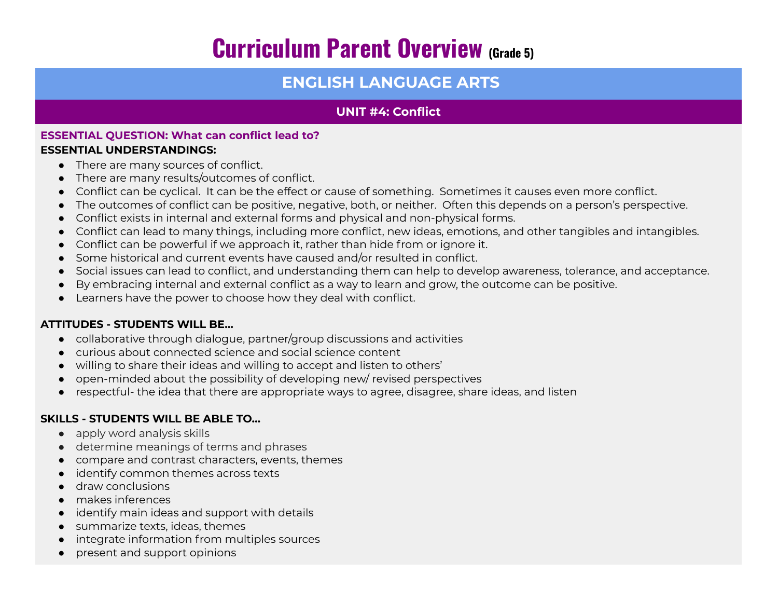# **Curriculum Parent Overview (Grade 5)**

# **ENGLISH LANGUAGE ARTS**

## **UNIT #4: Conflict**

#### **ESSENTIAL QUESTION: What can conflict lead to? ESSENTIAL UNDERSTANDINGS:**

- There are many sources of conflict.
- There are many results/outcomes of conflict.
- Conflict can be cyclical. It can be the effect or cause of something. Sometimes it causes even more conflict.
- The outcomes of conflict can be positive, negative, both, or neither. Often this depends on a person's perspective.
- Conflict exists in internal and external forms and physical and non-physical forms.
- Conflict can lead to many things, including more conflict, new ideas, emotions, and other tangibles and intangibles.
- Conflict can be powerful if we approach it, rather than hide from or ignore it.
- Some historical and current events have caused and/or resulted in conflict.
- Social issues can lead to conflict, and understanding them can help to develop awareness, tolerance, and acceptance.
- By embracing internal and external conflict as a way to learn and grow, the outcome can be positive.
- Learners have the power to choose how they deal with conflict.

### **ATTITUDES - STUDENTS WILL BE…**

- collaborative through dialogue, partner/group discussions and activities
- curious about connected science and social science content
- willing to share their ideas and willing to accept and listen to others'
- open-minded about the possibility of developing new/ revised perspectives
- respectful- the idea that there are appropriate ways to agree, disagree, share ideas, and listen

#### **SKILLS - STUDENTS WILL BE ABLE TO…**

- apply word analysis skills
- determine meanings of terms and phrases
- compare and contrast characters, events, themes
- identify common themes across texts
- draw conclusions
- makes inferences
- identify main ideas and support with details
- summarize texts, ideas, themes
- integrate information from multiples sources
- present and support opinions